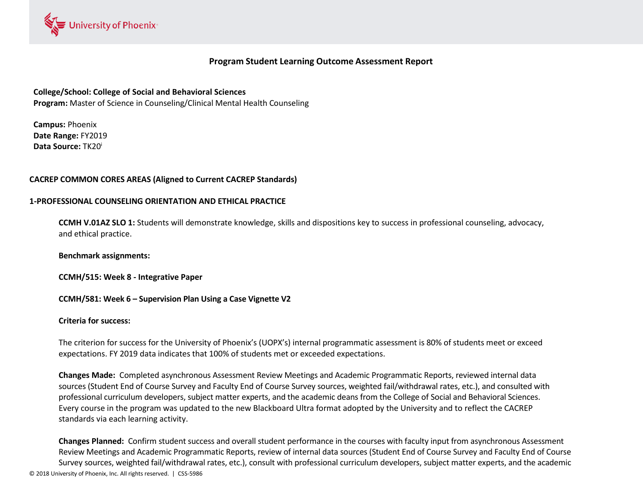

# **Program Student Learning Outcome Assessment Report**

# **College/School: College of Social and Behavioral Sciences**

**Program:** Master of Science in Counseling/Clinical Mental Health Counseling

**Campus:** Phoenix **Date Range:** FY2019 **Data Source:** TK20<sup>i</sup>

## **CACREP COMMON CORES AREAS (Aligned to Current CACREP Standards)**

#### **1-PROFESSIONAL COUNSELING ORIENTATION AND ETHICAL PRACTICE**

**CCMH V.01AZ SLO 1:** Students will demonstrate knowledge, skills and dispositions key to success in professional counseling, advocacy, and ethical practice.

**Benchmark assignments:** 

**CCMH/515: Week 8 - Integrative Paper**

**CCMH/581: Week 6 – Supervision Plan Using a Case Vignette V2** 

#### **Criteria for success:**

The criterion for success for the University of Phoenix's (UOPX's) internal programmatic assessment is 80% of students meet or exceed expectations. FY 2019 data indicates that 100% of students met or exceeded expectations.

**Changes Made:** Completed asynchronous Assessment Review Meetings and Academic Programmatic Reports, reviewed internal data sources (Student End of Course Survey and Faculty End of Course Survey sources, weighted fail/withdrawal rates, etc.), and consulted with professional curriculum developers, subject matter experts, and the academic deans from the College of Social and Behavioral Sciences. Every course in the program was updated to the new Blackboard Ultra format adopted by the University and to reflect the CACREP standards via each learning activity.

© 2018 University of Phoenix, Inc. All rights reserved. | CSS-5986 **Changes Planned:** Confirm student success and overall student performance in the courses with faculty input from asynchronous Assessment Review Meetings and Academic Programmatic Reports, review of internal data sources (Student End of Course Survey and Faculty End of Course Survey sources, weighted fail/withdrawal rates, etc.), consult with professional curriculum developers, subject matter experts, and the academic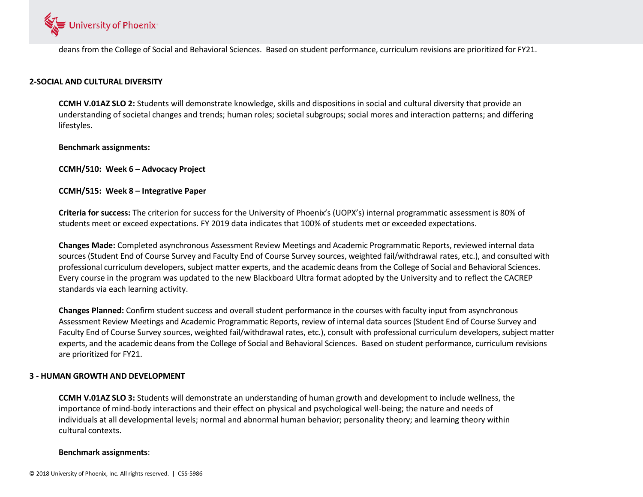

deans from the College of Social and Behavioral Sciences. Based on student performance, curriculum revisions are prioritized for FY21.

#### **2-SOCIAL AND CULTURAL DIVERSITY**

**CCMH V.01AZ SLO 2:** Students will demonstrate knowledge, skills and dispositions in social and cultural diversity that provide an understanding of societal changes and trends; human roles; societal subgroups; social mores and interaction patterns; and differing lifestyles.

#### **Benchmark assignments:**

**CCMH/510: Week 6 – Advocacy Project**

## **CCMH/515: Week 8 – Integrative Paper**

**Criteria for success:** The criterion for success for the University of Phoenix's (UOPX's) internal programmatic assessment is 80% of students meet or exceed expectations. FY 2019 data indicates that 100% of students met or exceeded expectations.

**Changes Made:** Completed asynchronous Assessment Review Meetings and Academic Programmatic Reports, reviewed internal data sources (Student End of Course Survey and Faculty End of Course Survey sources, weighted fail/withdrawal rates, etc.), and consulted with professional curriculum developers, subject matter experts, and the academic deans from the College of Social and Behavioral Sciences. Every course in the program was updated to the new Blackboard Ultra format adopted by the University and to reflect the CACREP standards via each learning activity.

**Changes Planned:** Confirm student success and overall student performance in the courses with faculty input from asynchronous Assessment Review Meetings and Academic Programmatic Reports, review of internal data sources (Student End of Course Survey and Faculty End of Course Survey sources, weighted fail/withdrawal rates, etc.), consult with professional curriculum developers, subject matter experts, and the academic deans from the College of Social and Behavioral Sciences. Based on student performance, curriculum revisions are prioritized for FY21.

#### **3 - HUMAN GROWTH AND DEVELOPMENT**

**CCMH V.01AZ SLO 3:** Students will demonstrate an understanding of human growth and development to include wellness, the importance of mind-body interactions and their effect on physical and psychological well-being; the nature and needs of individuals at all developmental levels; normal and abnormal human behavior; personality theory; and learning theory within cultural contexts.

# **Benchmark assignments**: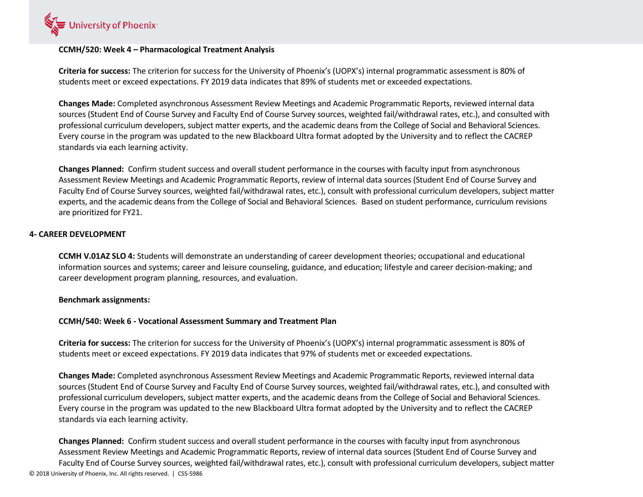

## **CCMH/520: Week 4 – Pharmacological Treatment Analysis**

**Criteria for success:** The criterion for success for the University of Phoenix's (UOPX's) internal programmatic assessment is 80% of students meet or exceed expectations. FY 2019 data indicates that 89% of students met or exceeded expectations.

**Changes Made:** Completed asynchronous Assessment Review Meetings and Academic Programmatic Reports, reviewed internal data sources (Student End of Course Survey and Faculty End of Course Survey sources, weighted fail/withdrawal rates, etc.), and consulted with professional curriculum developers, subject matter experts, and the academic deans from the College of Social and Behavioral Sciences. Every course in the program was updated to the new Blackboard Ultra format adopted by the University and to reflect the CACREP standards via each learning activity.

**Changes Planned:** Confirm student success and overall student performance in the courses with faculty input from asynchronous Assessment Review Meetings and Academic Programmatic Reports, review of internal data sources (Student End of Course Survey and Faculty End of Course Survey sources, weighted fail/withdrawal rates, etc.), consult with professional curriculum developers, subject matter experts, and the academic deans from the College of Social and Behavioral Sciences. Based on student performance, curriculum revisions are prioritized for FY21.

## **4- CAREER DEVELOPMENT**

**CCMH V.01AZ SLO 4:** Students will demonstrate an understanding of career development theories; occupational and educational information sources and systems; career and leisure counseling, guidance, and education; lifestyle and career decision-making; and career development program planning, resources, and evaluation.

#### **Benchmark assignments:**

#### **CCMH/540: Week 6 - Vocational Assessment Summary and Treatment Plan**

**Criteria for success:** The criterion for success for the University of Phoenix's (UOPX's) internal programmatic assessment is 80% of students meet or exceed expectations. FY 2019 data indicates that 97% of students met or exceeded expectations.

**Changes Made:** Completed asynchronous Assessment Review Meetings and Academic Programmatic Reports, reviewed internal data sources (Student End of Course Survey and Faculty End of Course Survey sources, weighted fail/withdrawal rates, etc.), and consulted with professional curriculum developers, subject matter experts, and the academic deans from the College of Social and Behavioral Sciences. Every course in the program was updated to the new Blackboard Ultra format adopted by the University and to reflect the CACREP standards via each learning activity.

© 2018 University of Phoenix, Inc. All rights reserved. | CSS-5986 **Changes Planned:** Confirm student success and overall student performance in the courses with faculty input from asynchronous Assessment Review Meetings and Academic Programmatic Reports, review of internal data sources (Student End of Course Survey and Faculty End of Course Survey sources, weighted fail/withdrawal rates, etc.), consult with professional curriculum developers, subject matter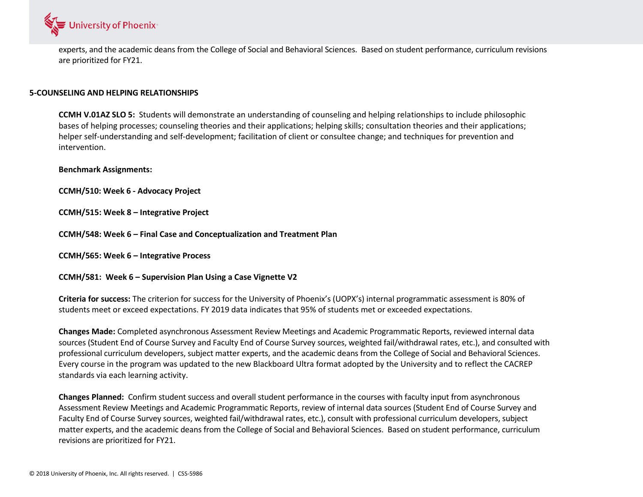

experts, and the academic deans from the College of Social and Behavioral Sciences. Based on student performance, curriculum revisions are prioritized for FY21.

#### **5-COUNSELING AND HELPING RELATIONSHIPS**

**CCMH V.01AZ SLO 5:** Students will demonstrate an understanding of counseling and helping relationships to include philosophic bases of helping processes; counseling theories and their applications; helping skills; consultation theories and their applications; helper self-understanding and self-development; facilitation of client or consultee change; and techniques for prevention and intervention.

**Benchmark Assignments:**

**CCMH/510: Week 6 - Advocacy Project**

**CCMH/515: Week 8 – Integrative Project**

**CCMH/548: Week 6 – Final Case and Conceptualization and Treatment Plan**

**CCMH/565: Week 6 – Integrative Process**

**CCMH/581: Week 6 – Supervision Plan Using a Case Vignette V2**

**Criteria for success:** The criterion for success for the University of Phoenix's (UOPX's) internal programmatic assessment is 80% of students meet or exceed expectations. FY 2019 data indicates that 95% of students met or exceeded expectations.

**Changes Made:** Completed asynchronous Assessment Review Meetings and Academic Programmatic Reports, reviewed internal data sources (Student End of Course Survey and Faculty End of Course Survey sources, weighted fail/withdrawal rates, etc.), and consulted with professional curriculum developers, subject matter experts, and the academic deans from the College of Social and Behavioral Sciences. Every course in the program was updated to the new Blackboard Ultra format adopted by the University and to reflect the CACREP standards via each learning activity.

**Changes Planned:** Confirm student success and overall student performance in the courses with faculty input from asynchronous Assessment Review Meetings and Academic Programmatic Reports, review of internal data sources (Student End of Course Survey and Faculty End of Course Survey sources, weighted fail/withdrawal rates, etc.), consult with professional curriculum developers, subject matter experts, and the academic deans from the College of Social and Behavioral Sciences. Based on student performance, curriculum revisions are prioritized for FY21.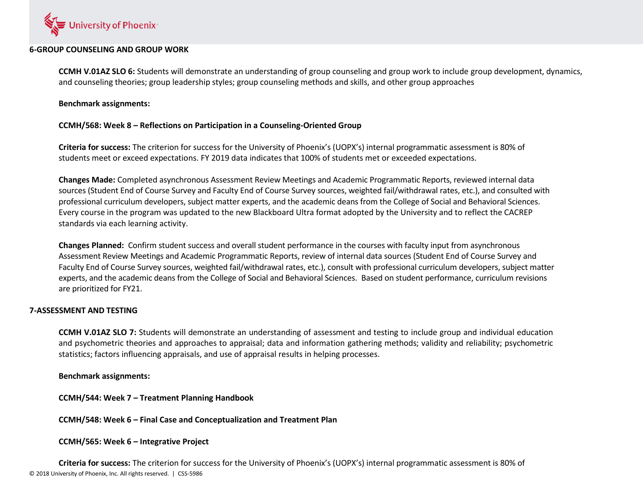

#### **6-GROUP COUNSELING AND GROUP WORK**

**CCMH V.01AZ SLO 6:** Students will demonstrate an understanding of group counseling and group work to include group development, dynamics, and counseling theories; group leadership styles; group counseling methods and skills, and other group approaches

**Benchmark assignments:**

# **CCMH/568: Week 8 – Reflections on Participation in a Counseling-Oriented Group**

**Criteria for success:** The criterion for success for the University of Phoenix's (UOPX's) internal programmatic assessment is 80% of students meet or exceed expectations. FY 2019 data indicates that 100% of students met or exceeded expectations.

**Changes Made:** Completed asynchronous Assessment Review Meetings and Academic Programmatic Reports, reviewed internal data sources (Student End of Course Survey and Faculty End of Course Survey sources, weighted fail/withdrawal rates, etc.), and consulted with professional curriculum developers, subject matter experts, and the academic deans from the College of Social and Behavioral Sciences. Every course in the program was updated to the new Blackboard Ultra format adopted by the University and to reflect the CACREP standards via each learning activity.

**Changes Planned:** Confirm student success and overall student performance in the courses with faculty input from asynchronous Assessment Review Meetings and Academic Programmatic Reports, review of internal data sources (Student End of Course Survey and Faculty End of Course Survey sources, weighted fail/withdrawal rates, etc.), consult with professional curriculum developers, subject matter experts, and the academic deans from the College of Social and Behavioral Sciences. Based on student performance, curriculum revisions are prioritized for FY21.

# **7-ASSESSMENT AND TESTING**

**CCMH V.01AZ SLO 7:** Students will demonstrate an understanding of assessment and testing to include group and individual education and psychometric theories and approaches to appraisal; data and information gathering methods; validity and reliability; psychometric statistics; factors influencing appraisals, and use of appraisal results in helping processes.

# **Benchmark assignments:**

**CCMH/544: Week 7 – Treatment Planning Handbook**

**CCMH/548: Week 6 – Final Case and Conceptualization and Treatment Plan** 

**CCMH/565: Week 6 – Integrative Project**

© 2018 University of Phoenix, Inc. All rights reserved. | CSS-5986 **Criteria for success:** The criterion for success for the University of Phoenix's (UOPX's) internal programmatic assessment is 80% of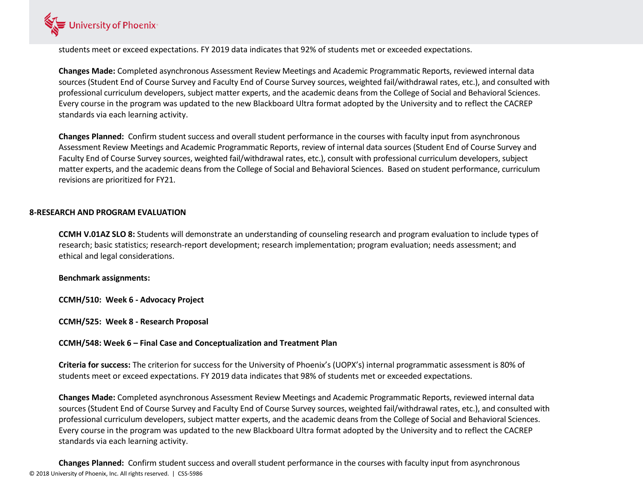

students meet or exceed expectations. FY 2019 data indicates that 92% of students met or exceeded expectations.

**Changes Made:** Completed asynchronous Assessment Review Meetings and Academic Programmatic Reports, reviewed internal data sources (Student End of Course Survey and Faculty End of Course Survey sources, weighted fail/withdrawal rates, etc.), and consulted with professional curriculum developers, subject matter experts, and the academic deans from the College of Social and Behavioral Sciences. Every course in the program was updated to the new Blackboard Ultra format adopted by the University and to reflect the CACREP standards via each learning activity.

**Changes Planned:** Confirm student success and overall student performance in the courses with faculty input from asynchronous Assessment Review Meetings and Academic Programmatic Reports, review of internal data sources (Student End of Course Survey and Faculty End of Course Survey sources, weighted fail/withdrawal rates, etc.), consult with professional curriculum developers, subject matter experts, and the academic deans from the College of Social and Behavioral Sciences. Based on student performance, curriculum revisions are prioritized for FY21.

## **8-RESEARCH AND PROGRAM EVALUATION**

**CCMH V.01AZ SLO 8:** Students will demonstrate an understanding of counseling research and program evaluation to include types of research; basic statistics; research-report development; research implementation; program evaluation; needs assessment; and ethical and legal considerations.

#### **Benchmark assignments:**

**CCMH/510: Week 6 - Advocacy Project**

**CCMH/525: Week 8 - Research Proposal**

**CCMH/548: Week 6 – Final Case and Conceptualization and Treatment Plan**

**Criteria for success:** The criterion for success for the University of Phoenix's (UOPX's) internal programmatic assessment is 80% of students meet or exceed expectations. FY 2019 data indicates that 98% of students met or exceeded expectations.

**Changes Made:** Completed asynchronous Assessment Review Meetings and Academic Programmatic Reports, reviewed internal data sources (Student End of Course Survey and Faculty End of Course Survey sources, weighted fail/withdrawal rates, etc.), and consulted with professional curriculum developers, subject matter experts, and the academic deans from the College of Social and Behavioral Sciences. Every course in the program was updated to the new Blackboard Ultra format adopted by the University and to reflect the CACREP standards via each learning activity.

© 2018 University of Phoenix, Inc. All rights reserved. | CSS-5986 **Changes Planned:** Confirm student success and overall student performance in the courses with faculty input from asynchronous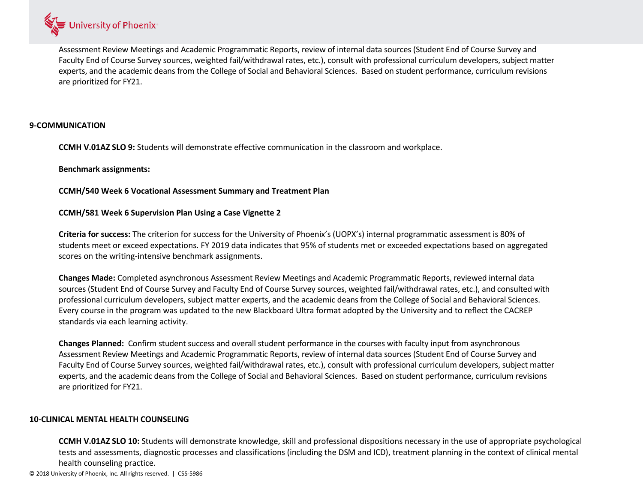

Assessment Review Meetings and Academic Programmatic Reports, review of internal data sources (Student End of Course Survey and Faculty End of Course Survey sources, weighted fail/withdrawal rates, etc.), consult with professional curriculum developers, subject matter experts, and the academic deans from the College of Social and Behavioral Sciences. Based on student performance, curriculum revisions are prioritized for FY21.

## **9-COMMUNICATION**

**CCMH V.01AZ SLO 9:** Students will demonstrate effective communication in the classroom and workplace.

**Benchmark assignments:**

**CCMH/540 Week 6 Vocational Assessment Summary and Treatment Plan**

#### **CCMH/581 Week 6 Supervision Plan Using a Case Vignette 2**

**Criteria for success:** The criterion for success for the University of Phoenix's (UOPX's) internal programmatic assessment is 80% of students meet or exceed expectations. FY 2019 data indicates that 95% of students met or exceeded expectations based on aggregated scores on the writing-intensive benchmark assignments.

**Changes Made:** Completed asynchronous Assessment Review Meetings and Academic Programmatic Reports, reviewed internal data sources (Student End of Course Survey and Faculty End of Course Survey sources, weighted fail/withdrawal rates, etc.), and consulted with professional curriculum developers, subject matter experts, and the academic deans from the College of Social and Behavioral Sciences. Every course in the program was updated to the new Blackboard Ultra format adopted by the University and to reflect the CACREP standards via each learning activity.

**Changes Planned:** Confirm student success and overall student performance in the courses with faculty input from asynchronous Assessment Review Meetings and Academic Programmatic Reports, review of internal data sources (Student End of Course Survey and Faculty End of Course Survey sources, weighted fail/withdrawal rates, etc.), consult with professional curriculum developers, subject matter experts, and the academic deans from the College of Social and Behavioral Sciences. Based on student performance, curriculum revisions are prioritized for FY21.

#### **10-CLINICAL MENTAL HEALTH COUNSELING**

**CCMH V.01AZ SLO 10:** Students will demonstrate knowledge, skill and professional dispositions necessary in the use of appropriate psychological tests and assessments, diagnostic processes and classifications (including the DSM and ICD), treatment planning in the context of clinical mental health counseling practice.

© 2018 University of Phoenix, Inc. All rights reserved. | CSS-5986